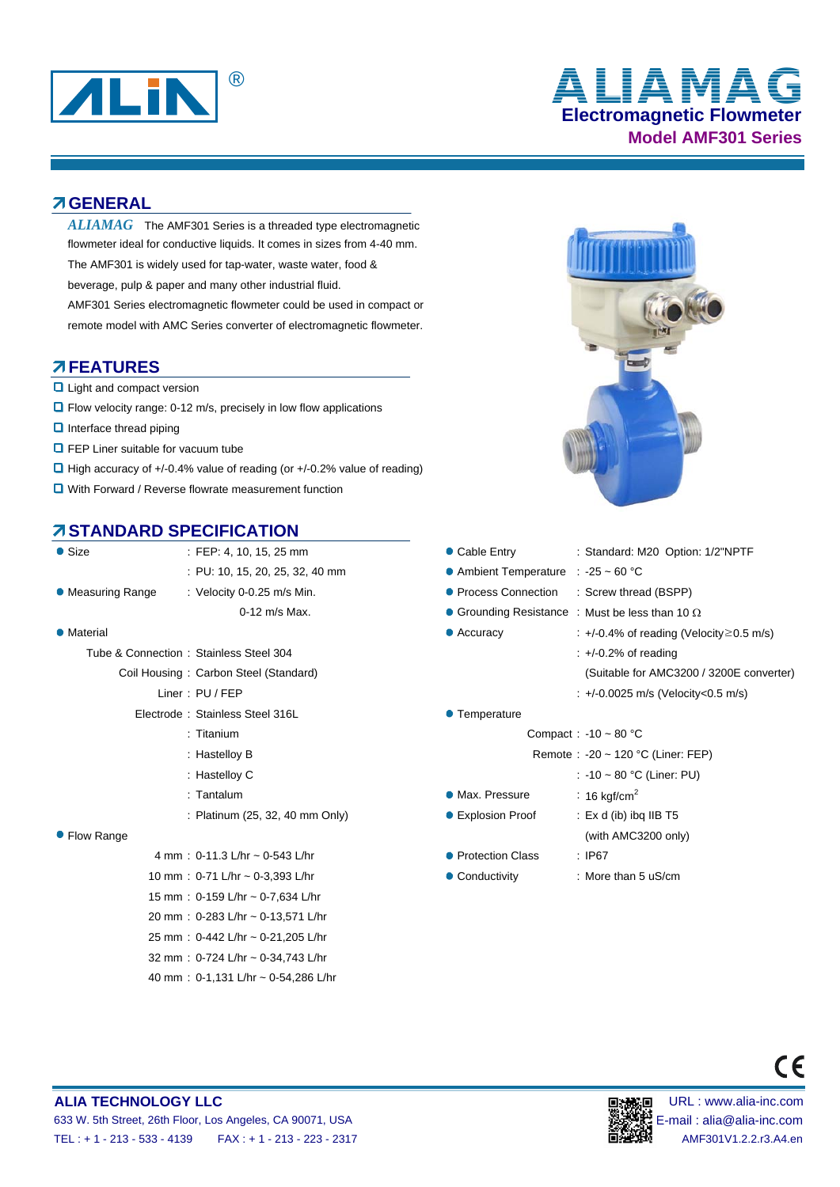

# **Electromagnetic Flowmeter Model AMF301 Series** ® **ALIAMAG**

### **GENERAL**

 $ALIAMAG$  The AMF301 Series is a threaded type electromagnetic flowmeter ideal for conductive liquids. It comes in sizes from 4-40 mm. The AMF301 is widely used for tap-water, waste water, food & beverage, pulp & paper and many other industrial fluid. AMF301 Series electromagnetic flowmeter could be used in compact or remote model with AMC Series converter of electromagnetic flowmeter.

### **FEATURES**

- **Q** Light and compact version
- $\Box$  Flow velocity range: 0-12 m/s, precisely in low flow applications
- $\Box$  Interface thread piping
- **O** FEP Liner suitable for vacuum tube
- High accuracy of +/-0.4% value of reading (or +/-0.2% value of reading)
- **Q** With Forward / Reverse flowrate measurement function

## **STANDARD SPECIFICATION**

| $\bullet$ Size    | : FEP: 4, 10, 15, 25 mm                | • Cable Entry         | : Standard: M20 Option: 1/2"NPTF                       |
|-------------------|----------------------------------------|-----------------------|--------------------------------------------------------|
|                   | : PU: 10, 15, 20, 25, 32, 40 mm        | • Ambient Temperature | : $-25 - 60$ °C                                        |
| • Measuring Range | : Velocity 0-0.25 m/s Min.             | ● Process Connection  | : Screw thread (BSPP)                                  |
|                   | 0-12 m/s Max.                          |                       | • Grounding Resistance : Must be less than 10 $\Omega$ |
| • Material        |                                        | $\bullet$ Accuracy    | $\div$ +/-0.4% of reading (Velocity $\geq$ 0.5         |
|                   | Tube & Connection: Stainless Steel 304 |                       | $: +/0.2\%$ of reading                                 |
|                   | Coil Housing: Carbon Steel (Standard)  |                       | (Suitable for AMC3200 / 3200E co                       |
|                   | Liner: PU / FEP                        |                       | : $+/-0.0025$ m/s (Velocity < 0.5 m/s)                 |
|                   | Electrode: Stainless Steel 316L        | • Temperature         |                                                        |
|                   | $:$ Titanium                           |                       | Compact: $-10 - 80$ °C                                 |
|                   | : Hastelloy B                          |                       | Remote: $-20 \sim 120$ °C (Liner: FEP)                 |
|                   | : Hastelloy C                          |                       | : -10 ~ 80 °C (Liner: PU)                              |
|                   | $:$ Tantalum                           | • Max. Pressure       | : 16 kgf/cm <sup>2</sup>                               |
|                   | : Platinum (25, 32, 40 mm Only)        | ● Explosion Proof     | $:$ Ex d (ib) ibg IIB T5                               |
| • Flow Range      |                                        |                       | (with AMC3200 only)                                    |
|                   | 4 mm : $0-11.3$ L/hr ~ $0-543$ L/hr    | • Protection Class    | :IP67                                                  |
|                   | 10 mm : $0-71$ L/hr ~ $0-3,393$ L/hr   | • Conductivity        | : More than $5 \text{ uS/cm}$                          |
|                   | 15 mm: 0-159 L/hr ~ 0-7,634 L/hr       |                       |                                                        |
|                   | 20 mm: 0-283 L/hr ~ 0-13,571 L/hr      |                       |                                                        |
|                   | 25 mm: 0-442 L/hr ~ 0-21,205 L/hr      |                       |                                                        |

32 mm : 0-724 L/hr ~ 0-34,743 L/hr 40 mm : 0-1,131 L/hr ~ 0-54,286 L/hr



| Size            | $\therefore$ FEP: 4, 10, 15, 25 mm     | • Cable Entry                       | : Standard: M20 Option: 1/2"NPTF                       |
|-----------------|----------------------------------------|-------------------------------------|--------------------------------------------------------|
|                 | : PU: 10, 15, 20, 25, 32, 40 mm        | • Ambient Temperature : -25 ~ 60 °C |                                                        |
| Measuring Range | : Velocity 0-0.25 m/s Min.             | • Process Connection                | : Screw thread (BSPP)                                  |
|                 | 0-12 m/s Max.                          |                                     | • Grounding Resistance : Must be less than 10 $\Omega$ |
| Material        |                                        | $\bullet$ Accuracy                  | $\div$ +/-0.4% of reading (Velocity $\geq$ 0.5 m/s)    |
|                 | Tube & Connection: Stainless Steel 304 |                                     | $\div$ +/-0.2% of reading                              |
|                 | Coil Housing: Carbon Steel (Standard)  |                                     | (Suitable for AMC3200 / 3200E converter)               |
|                 | Liner : PU / FEP                       |                                     | : +/-0.0025 m/s (Velocity<0.5 m/s)                     |
|                 | Electrode: Stainless Steel 316L        | • Temperature                       |                                                        |
|                 | : Titanium                             |                                     | Compact: $-10 \sim 80$ °C                              |
|                 | : Hastelloy B                          |                                     | Remote: $-20 \sim 120$ °C (Liner: FEP)                 |
|                 | : Hastelloy C                          |                                     | : -10 ~ 80 °C (Liner: PU)                              |
|                 | : Tantalum                             | • Max. Pressure                     | : 16 kgf/cm <sup>2</sup>                               |
|                 | : Platinum (25, 32, 40 mm Only)        | ● Explosion Proof                   | : Ex d (ib) ibg IIB $T5$                               |
| Flow Range      |                                        |                                     | (with AMC3200 only)                                    |
|                 | 4 mm : $0-11.3$ L/hr $\sim$ 0-543 L/hr | • Protection Class                  | : IP67                                                 |
|                 | 10 mm : $0-71$ L/hr ~ $0-3,393$ L/hr   | • Conductivity                      | : More than $5 uS/cm$                                  |
|                 |                                        |                                     |                                                        |



#### **ALIA TECHNOLOGY LLC DEVICED AND RESOLUTION OF THE URL IN SECTION OF THE URL : www.alia-inc.com** 633 W. 5th Street, 26th Floor, Los Angeles, CA 90071, USA E-mail : alia@alia-inc.com TEL : + 1 - 213 - 533 - 4139 FAX : + 1 - 213 - 223 - 2317 AMF301V1.2.2.r3.A4.en

 $\epsilon$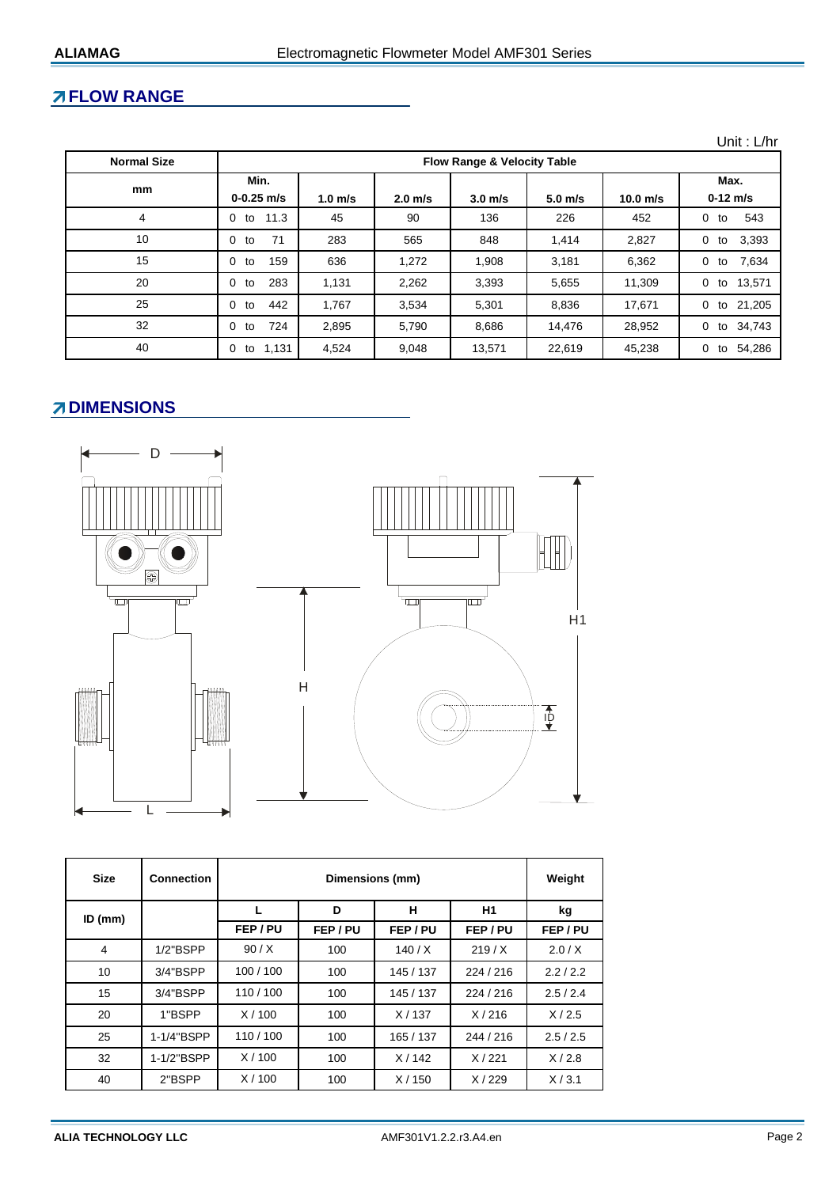# **FLOW RANGE**

| <b>Normal Size</b> | <b>Flow Range &amp; Velocity Table</b> |           |           |                    |           |            |                           |
|--------------------|----------------------------------------|-----------|-----------|--------------------|-----------|------------|---------------------------|
| mm                 | Min.<br>$0 - 0.25$ m/s                 | $1.0$ m/s | $2.0$ m/s | 3.0 <sub>m/s</sub> | $5.0$ m/s | $10.0$ m/s | Max.<br>$0-12$ m/s        |
| 4                  | 11.3<br>0<br>to                        | 45        | 90        | 136                | 226       | 452        | 543<br>$\Omega$<br>to     |
| 10                 | 71<br>0<br>to                          | 283       | 565       | 848                | 1,414     | 2,827      | 3,393<br>0<br>to          |
| 15                 | 159<br>0<br>to                         | 636       | 1,272     | 1,908              | 3,181     | 6,362      | to 7,634<br>$\mathbf{0}$  |
| 20                 | 283<br>0<br>to                         | 1,131     | 2,262     | 3,393              | 5,655     | 11,309     | to 13,571<br>$\mathbf{0}$ |
| 25                 | 442<br>0<br>to                         | 1,767     | 3,534     | 5,301              | 8,836     | 17,671     | to 21,205<br>$\Omega$     |
| 32                 | 724<br>0<br>to                         | 2,895     | 5,790     | 8,686              | 14.476    | 28,952     | to 34,743<br>$\Omega$     |
| 40                 | 1,131<br>0<br>to                       | 4.524     | 9,048     | 13,571             | 22.619    | 45,238     | 54.286<br>0<br>to         |

# **ZIDIMENSIONS**



| <b>Size</b>    | <b>Connection</b> |          | Weight   |           |           |          |
|----------------|-------------------|----------|----------|-----------|-----------|----------|
| $ID$ (mm)      |                   |          | D        | н         | H1        | kg       |
|                |                   | FEP / PU | FEP / PU | FEP/PU    | FEP / PU  | FEP / PU |
| $\overline{4}$ | $1/2$ "BSPP       | 90/X     | 100      | 140/X     | 219/X     | 2.0/X    |
| 10             | 3/4"BSPP          | 100/100  | 100      | 145 / 137 | 224/216   | 2.2/2.2  |
| 15             | 3/4"BSPP          | 110/100  | 100      | 145 / 137 | 224/216   | 2.5/2.4  |
| 20             | 1"BSPP            | X/100    | 100      | X/137     | X/216     | X/2.5    |
| 25             | 1-1/4"BSPP        | 110/100  | 100      | 165 / 137 | 244 / 216 | 2.5/2.5  |
| 32             | 1-1/2"BSPP        | X/100    | 100      | X/142     | X/221     | X/2.8    |
| 40             | 2"BSPP            | X/100    | 100      | X/150     | X/229     | X/3.1    |

Unit : L/hr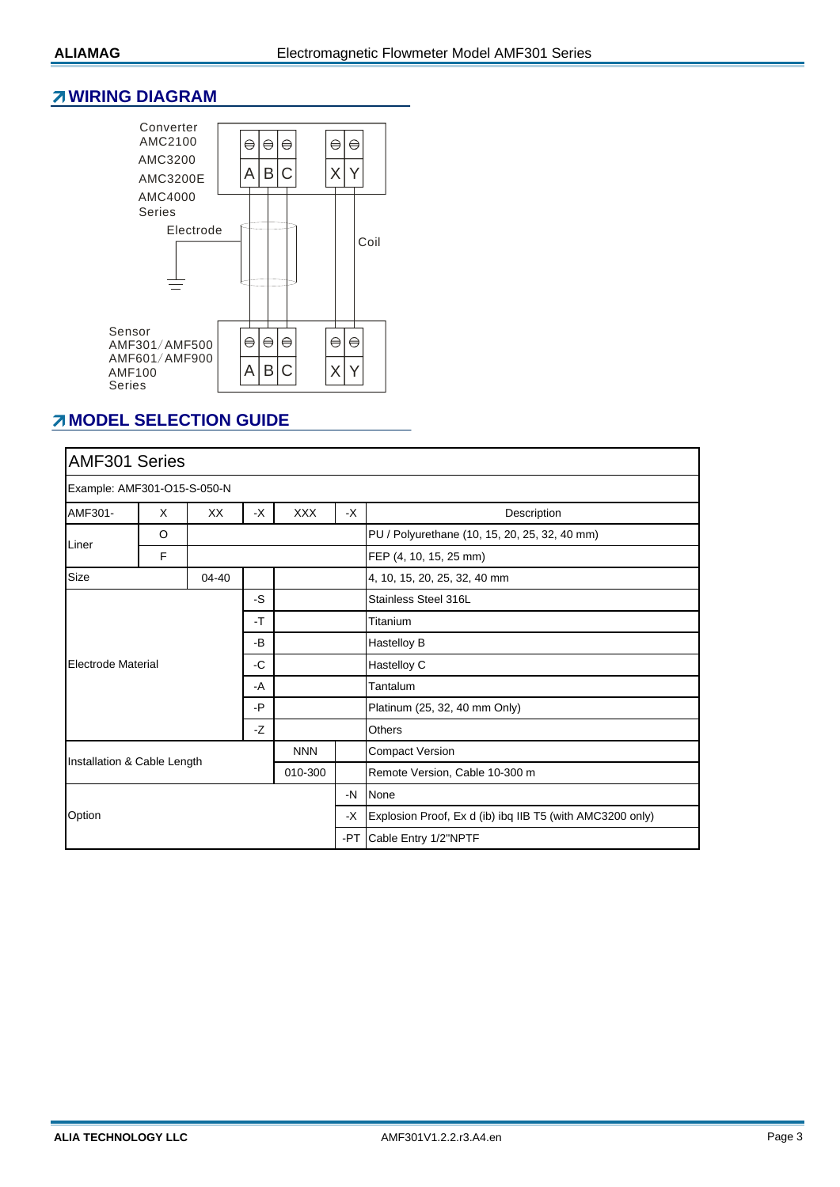#### **WIRING DIAGRAM**



## **MODEL SELECTION GUIDE**

| AMF301 Series                                        |   |    |                    |                              |                                                           |                                               |  |  |
|------------------------------------------------------|---|----|--------------------|------------------------------|-----------------------------------------------------------|-----------------------------------------------|--|--|
| Example: AMF301-O15-S-050-N                          |   |    |                    |                              |                                                           |                                               |  |  |
| AMF301-                                              | X | XX | <b>XXX</b><br>$-X$ |                              | $-X$                                                      | Description                                   |  |  |
| O                                                    |   |    |                    |                              |                                                           | PU / Polyurethane (10, 15, 20, 25, 32, 40 mm) |  |  |
| Liner                                                | F |    |                    |                              |                                                           | FEP (4, 10, 15, 25 mm)                        |  |  |
| Size<br>$04 - 40$                                    |   |    |                    | 4, 10, 15, 20, 25, 32, 40 mm |                                                           |                                               |  |  |
| -S<br>-T                                             |   |    |                    |                              | Stainless Steel 316L                                      |                                               |  |  |
|                                                      |   |    |                    |                              | Titanium                                                  |                                               |  |  |
|                                                      |   |    | -B                 |                              |                                                           | Hastelloy B                                   |  |  |
| Electrode Material<br>-C<br>-A<br>-P<br>-Z           |   |    |                    |                              | Hastelloy C                                               |                                               |  |  |
|                                                      |   |    |                    |                              |                                                           | Tantalum                                      |  |  |
|                                                      |   |    |                    |                              | Platinum (25, 32, 40 mm Only)                             |                                               |  |  |
|                                                      |   |    |                    |                              | <b>Others</b>                                             |                                               |  |  |
| <b>NNN</b><br>Installation & Cable Length<br>010-300 |   |    |                    |                              | <b>Compact Version</b>                                    |                                               |  |  |
|                                                      |   |    |                    |                              | Remote Version, Cable 10-300 m                            |                                               |  |  |
| Option                                               |   |    |                    | $-N$                         | None                                                      |                                               |  |  |
|                                                      |   |    |                    | -X                           | Explosion Proof, Ex d (ib) ibq IIB T5 (with AMC3200 only) |                                               |  |  |
|                                                      |   |    |                    |                              | -PT Cable Entry 1/2"NPTF                                  |                                               |  |  |